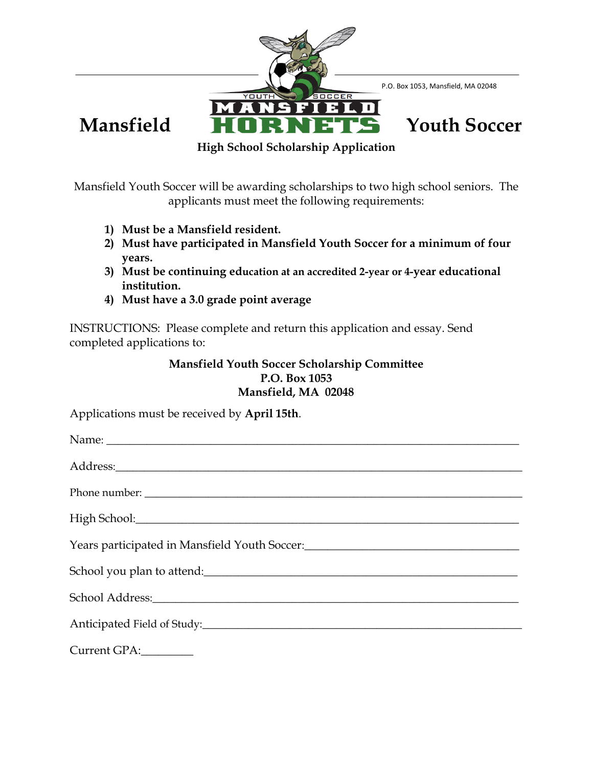

Mansfield Youth Soccer will be awarding scholarships to two high school seniors. The applicants must meet the following requirements:

- **1) Must be a Mansfield resident.**
- **2) Must have participated in Mansfield Youth Soccer for a minimum of four years.**
- **3) Must be continuing education at an accredited 2-year or 4-year educational institution.**
- **4) Must have a 3.0 grade point average**

INSTRUCTIONS: Please complete and return this application and essay. Send completed applications to:

## **Mansfield Youth Soccer Scholarship Committee P.O. Box 1053 Mansfield, MA 02048**

Applications must be received by **April 15th**.

| School Address: Note that the second state of the second state of the second state of the second state of the |
|---------------------------------------------------------------------------------------------------------------|
|                                                                                                               |
| Current GPA:___________                                                                                       |